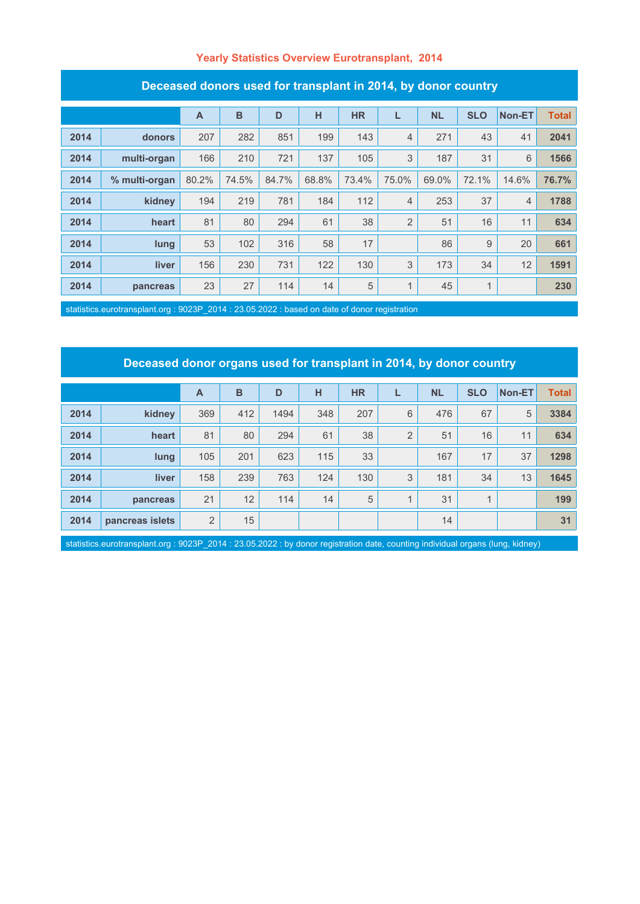#### **Yearly Statistics Overview Eurotransplant, 2014**

| Deceased donors used for transplant in 2014, by donor country |               |       |       |       |       |           |                |           |              |                |              |
|---------------------------------------------------------------|---------------|-------|-------|-------|-------|-----------|----------------|-----------|--------------|----------------|--------------|
|                                                               |               | A     | B     | D     | н     | <b>HR</b> | L              | <b>NL</b> | <b>SLO</b>   | Non-ET         | <b>Total</b> |
| 2014                                                          | donors        | 207   | 282   | 851   | 199   | 143       | 4              | 271       | 43           | 41             | 2041         |
| 2014                                                          | multi-organ   | 166   | 210   | 721   | 137   | 105       | 3              | 187       | 31           | 6              | 1566         |
| 2014                                                          | % multi-organ | 80.2% | 74.5% | 84.7% | 68.8% | 73.4%     | 75.0%          | 69.0%     | 72.1%        | 14.6%          | 76.7%        |
| 2014                                                          | kidney        | 194   | 219   | 781   | 184   | 112       | 4              | 253       | 37           | $\overline{4}$ | 1788         |
| 2014                                                          | heart         | 81    | 80    | 294   | 61    | 38        | $\overline{2}$ | 51        | 16           | 11             | 634          |
| 2014                                                          | lung          | 53    | 102   | 316   | 58    | 17        |                | 86        | 9            | 20             | 661          |
| 2014                                                          | liver         | 156   | 230   | 731   | 122   | 130       | 3              | 173       | 34           | 12             | 1591         |
| 2014                                                          | pancreas      | 23    | 27    | 114   | 14    | 5         | 1              | 45        | $\mathbf{1}$ |                | 230          |

statistics.eurotransplant.org : 9023P\_2014 : 23.05.2022 : based on date of donor registration

# **Deceased donor organs used for transplant in 2014, by donor country**

|      |                 | $\overline{A}$ | B   | D    | н   | <b>HR</b> |                | <b>NL</b> | <b>SLO</b> | Non-ET | <b>Total</b> |
|------|-----------------|----------------|-----|------|-----|-----------|----------------|-----------|------------|--------|--------------|
| 2014 | kidney          | 369            | 412 | 1494 | 348 | 207       | 6              | 476       | 67         | 5      | 3384         |
| 2014 | heart           | 81             | 80  | 294  | 61  | 38        | $\overline{2}$ | 51        | 16         | 11     | 634          |
| 2014 | lung            | 105            | 201 | 623  | 115 | 33        |                | 167       | 17         | 37     | 1298         |
| 2014 | <b>liver</b>    | 158            | 239 | 763  | 124 | 130       | 3              | 181       | 34         | 13     | 1645         |
| 2014 | pancreas        | 21             | 12  | 114  | 14  | 5         | $\overline{A}$ | 31        |            |        | 199          |
| 2014 | pancreas islets | 2              | 15  |      |     |           |                | 14        |            |        | 31           |

statistics.eurotransplant.org : 9023P\_2014 : 23.05.2022 : by donor registration date, counting individual organs (lung, kidney)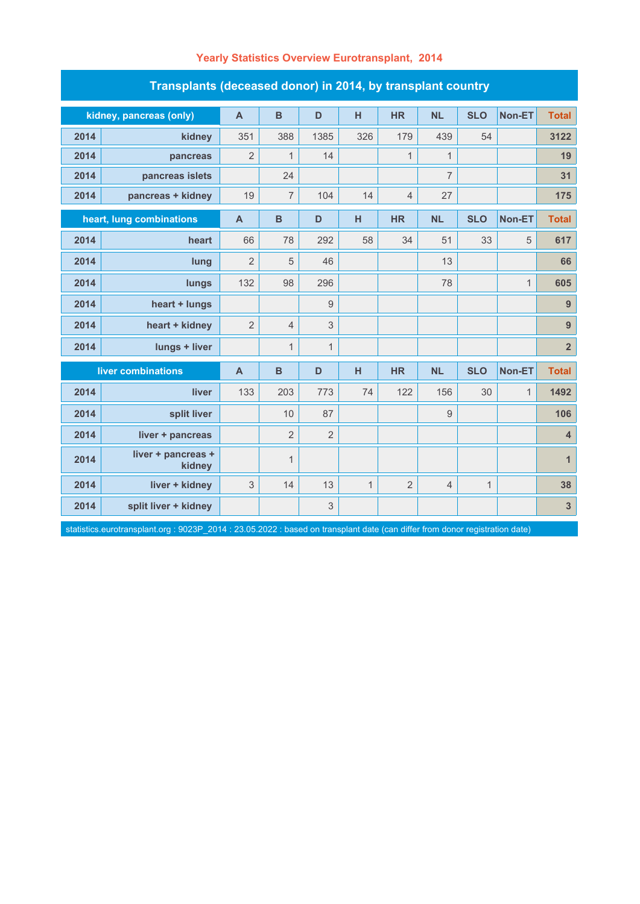| Transplants (deceased donor) in 2014, by transplant country |                              |                |                |                |              |                |                  |              |              |                         |  |
|-------------------------------------------------------------|------------------------------|----------------|----------------|----------------|--------------|----------------|------------------|--------------|--------------|-------------------------|--|
|                                                             | kidney, pancreas (only)      | $\overline{A}$ | $\mathbf B$    | D              | H            | <b>HR</b>      | <b>NL</b>        | <b>SLO</b>   | Non-ET       | <b>Total</b>            |  |
| 2014                                                        | kidney                       | 351            | 388            | 1385           | 326          | 179            | 439              | 54           |              | 3122                    |  |
| 2014                                                        | pancreas                     | $\overline{2}$ | $\mathbf{1}$   | 14             |              | $\mathbf{1}$   | $\mathbf{1}$     |              |              | 19                      |  |
| 2014                                                        | pancreas islets              |                | 24             |                |              |                | $\overline{7}$   |              |              | 31                      |  |
| 2014                                                        | pancreas + kidney            | 19             | $\overline{7}$ | 104            | 14           | $\overline{4}$ | 27               |              |              | 175                     |  |
| heart, lung combinations                                    |                              | $\mathbf{A}$   | B              | D              | н            | <b>HR</b>      | <b>NL</b>        | <b>SLO</b>   | Non-ET       | <b>Total</b>            |  |
| 2014                                                        | heart                        | 66             | 78             | 292            | 58           | 34             | 51               | 33           | 5            | 617                     |  |
| 2014                                                        | lung                         | $\overline{2}$ | 5              | 46             |              |                | 13               |              |              | 66                      |  |
| 2014                                                        | lungs                        | 132            | 98             | 296            |              |                | 78               |              | $\mathbf{1}$ | 605                     |  |
| 2014                                                        | heart + lungs                |                |                | 9              |              |                |                  |              |              | $\overline{9}$          |  |
| 2014                                                        | heart + kidney               | $\overline{2}$ | $\overline{4}$ | 3              |              |                |                  |              |              | $\boldsymbol{9}$        |  |
| 2014                                                        | lungs + liver                |                | $\mathbf{1}$   | $\mathbf{1}$   |              |                |                  |              |              | $\overline{\mathbf{2}}$ |  |
| liver combinations                                          |                              | $\mathsf{A}$   | $\mathbf B$    | D              | H            | <b>HR</b>      | <b>NL</b>        | <b>SLO</b>   | Non-ET       | <b>Total</b>            |  |
| 2014                                                        | liver                        | 133            | 203            | 773            | 74           | 122            | 156              | 30           | $\mathbf{1}$ | 1492                    |  |
| 2014                                                        | split liver                  |                | 10             | 87             |              |                | $\boldsymbol{9}$ |              |              | 106                     |  |
| 2014                                                        | liver + pancreas             |                | $\overline{2}$ | $\overline{2}$ |              |                |                  |              |              | $\overline{\mathbf{4}}$ |  |
| 2014                                                        | liver + pancreas +<br>kidney |                | $\mathbf{1}$   |                |              |                |                  |              |              | $\mathbf{1}$            |  |
| 2014                                                        | liver + kidney               | 3              | 14             | 13             | $\mathbf{1}$ | $\overline{2}$ | $\overline{4}$   | $\mathbf{1}$ |              | 38                      |  |
| 2014                                                        | split liver + kidney         |                |                | 3              |              |                |                  |              |              | $\overline{\mathbf{3}}$ |  |

### **Yearly Statistics Overview Eurotransplant, 2014**

statistics.eurotransplant.org : 9023P\_2014 : 23.05.2022 : based on transplant date (can differ from donor registration date)